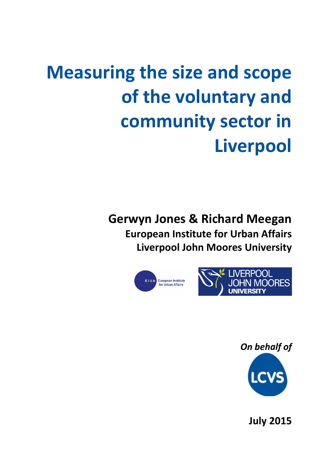# **Measuring the size and scope of the voluntary and community sector in Liverpool**

**Gerwyn Jones & Richard Meegan European Institute for Urban Affairs Liverpool John Moores University**



*On behalf of* 

**July 2015**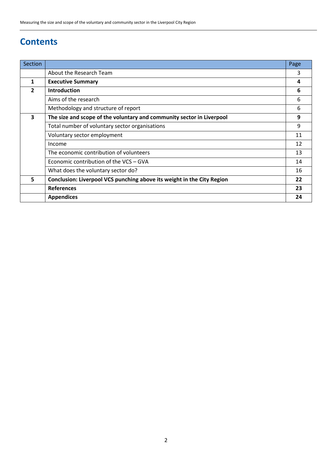# **Contents**

| Section      |                                                                        | Page |
|--------------|------------------------------------------------------------------------|------|
|              | About the Research Team                                                | 3    |
| 1            | <b>Executive Summary</b>                                               | 4    |
| $\mathbf{z}$ | <b>Introduction</b>                                                    | 6    |
|              | Aims of the research                                                   | 6    |
|              | Methodology and structure of report                                    | 6    |
| 3            | The size and scope of the voluntary and community sector in Liverpool  | 9    |
|              | Total number of voluntary sector organisations                         | 9    |
|              | Voluntary sector employment                                            | 11   |
|              | Income                                                                 | 12   |
|              | The economic contribution of volunteers                                | 13   |
|              | Economic contribution of the VCS – GVA                                 | 14   |
|              | What does the voluntary sector do?                                     | 16   |
| 5            | Conclusion: Liverpool VCS punching above its weight in the City Region | 22   |
|              | <b>References</b>                                                      | 23   |
|              | <b>Appendices</b>                                                      | 24   |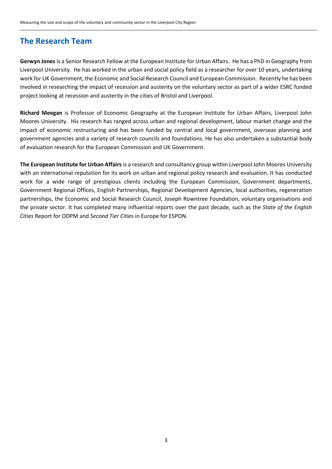# **The Research Team**

**Gerwyn Jones** is a Senior Research Fellow at the European Institute for Urban Affairs. He has a PhD in Geography from Liverpool University. He has worked in the urban and social policy field as a researcher for over 10 years, undertaking work for UK Government, the Economic and Social Research Council and European Commission. Recently he has been involved in researching the impact of recession and austerity on the voluntary sector as part of a wider ESRC funded project looking at recession and austerity in the cities of Bristol and Liverpool.

**Richard Meegan** is Professor of Economic Geography at the European Institute for Urban Affairs, Liverpool John Moores University. His research has ranged across urban and regional development, labour market change and the impact of economic restructuring and has been funded by central and local government, overseas planning and government agencies and a variety of research councils and foundations. He has also undertaken a substantial body of evaluation research for the European Commission and UK Government.

**The European Institute for Urban Affairs** is a research and consultancy group within Liverpool John Moores University with an international reputation for its work on urban and regional policy research and evaluation. It has conducted work for a wide range of prestigious clients including the European Commission, Government departments, Government Regional Offices, English Partnerships, Regional Development Agencies, local authorities, regeneration partnerships, the Economic and Social Research Council, Joseph Rowntree Foundation, voluntary organisations and the private sector. It has completed many influential reports over the past decade, such as the *State of the English Cities* Report for ODPM and *Second Tier Cities* in Europe for ESPON.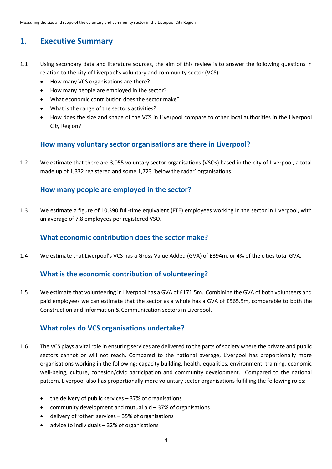# **1. Executive Summary**

- 1.1 Using secondary data and literature sources, the aim of this review is to answer the following questions in relation to the city of Liverpool's voluntary and community sector (VCS):
	- How many VCS organisations are there?
	- How many people are employed in the sector?
	- What economic contribution does the sector make?
	- What is the range of the sectors activities?
	- How does the size and shape of the VCS in Liverpool compare to other local authorities in the Liverpool City Region?

## **How many voluntary sector organisations are there in Liverpool?**

1.2 We estimate that there are 3,055 voluntary sector organisations (VSOs) based in the city of Liverpool, a total made up of 1,332 registered and some 1,723 'below the radar' organisations.

## **How many people are employed in the sector?**

1.3 We estimate a figure of 10,390 full-time equivalent (FTE) employees working in the sector in Liverpool, with an average of 7.8 employees per registered VSO.

## **What economic contribution does the sector make?**

1.4 We estimate that Liverpool's VCS has a Gross Value Added (GVA) of £394m, or 4% of the cities total GVA.

## **What is the economic contribution of volunteering?**

1.5 We estimate that volunteering in Liverpool has a GVA of £171.5m. Combining the GVA of both volunteers and paid employees we can estimate that the sector as a whole has a GVA of £565.5m, comparable to both the Construction and Information & Communication sectors in Liverpool.

## **What roles do VCS organisations undertake?**

- 1.6 The VCS plays a vital role in ensuring services are delivered to the parts of society where the private and public sectors cannot or will not reach. Compared to the national average, Liverpool has proportionally more organisations working in the following: capacity building, health, equalities, environment, training, economic well-being, culture, cohesion/civic participation and community development. Compared to the national pattern, Liverpool also has proportionally more voluntary sector organisations fulfilling the following roles:
	- the delivery of public services 37% of organisations
	- community development and mutual aid 37% of organisations
	- delivery of 'other' services 35% of organisations
	- $\bullet$  advice to individuals  $-32\%$  of organisations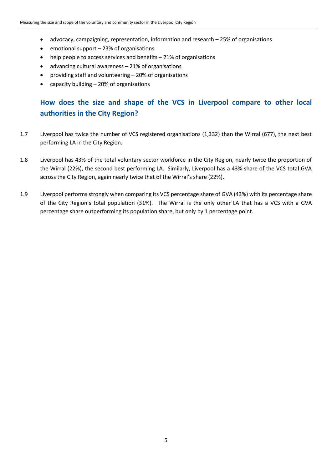- advocacy, campaigning, representation, information and research 25% of organisations
- emotional support 23% of organisations
- help people to access services and benefits 21% of organisations
- advancing cultural awareness 21% of organisations
- providing staff and volunteering 20% of organisations
- capacity building 20% of organisations

# **How does the size and shape of the VCS in Liverpool compare to other local authorities in the City Region?**

- 1.7 Liverpool has twice the number of VCS registered organisations (1,332) than the Wirral (677), the next best performing LA in the City Region.
- 1.8 Liverpool has 43% of the total voluntary sector workforce in the City Region, nearly twice the proportion of the Wirral (22%), the second best performing LA. Similarly, Liverpool has a 43% share of the VCS total GVA across the City Region, again nearly twice that of the Wirral's share (22%).
- 1.9 Liverpool performs strongly when comparing its VCS percentage share of GVA (43%) with its percentage share of the City Region's total population (31%). The Wirral is the only other LA that has a VCS with a GVA percentage share outperforming its population share, but only by 1 percentage point.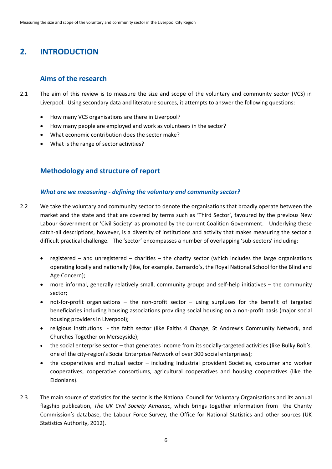# **2. INTRODUCTION**

# **Aims of the research**

- 2.1 The aim of this review is to measure the size and scope of the voluntary and community sector (VCS) in Liverpool. Using secondary data and literature sources, it attempts to answer the following questions:
	- How many VCS organisations are there in Liverpool?
	- How many people are employed and work as volunteers in the sector?
	- What economic contribution does the sector make?
	- What is the range of sector activities?

# **Methodology and structure of report**

#### *What are we measuring - defining the voluntary and community sector?*

- 2.2 We take the voluntary and community sector to denote the organisations that broadly operate between the market and the state and that are covered by terms such as 'Third Sector', favoured by the previous New Labour Government or 'Civil Society' as promoted by the current Coalition Government. Underlying these catch-all descriptions, however, is a diversity of institutions and activity that makes measuring the sector a difficult practical challenge. The 'sector' encompasses a number of overlapping 'sub-sectors' including:
	- registered and unregistered charities the charity sector (which includes the large organisations operating locally and nationally (like, for example, Barnardo's, the Royal National School for the Blind and Age Concern);
	- more informal, generally relatively small, community groups and self-help initiatives the community sector;
	- not-for-profit organisations the non-profit sector using surpluses for the benefit of targeted beneficiaries including housing associations providing social housing on a non-profit basis (major social housing providers in Liverpool);
	- religious institutions the faith sector (like Faiths 4 Change, St Andrew's Community Network, and Churches Together on Merseyside);
	- the social enterprise sector that generates income from its socially-targeted activities (like Bulky Bob's, one of the city-region's Social Enterprise Network of over 300 social enterprises);
	- the cooperatives and mutual sector including Industrial provident Societies, consumer and worker cooperatives, cooperative consortiums, agricultural cooperatives and housing cooperatives (like the Eldonians).
- 2.3 The main source of statistics for the sector is the National Council for Voluntary Organisations and its annual flagship publication, *The UK Civil Society Almanac*, which brings together information from the Charity Commission's database, the Labour Force Survey, the Office for National Statistics and other sources (UK Statistics Authority, 2012).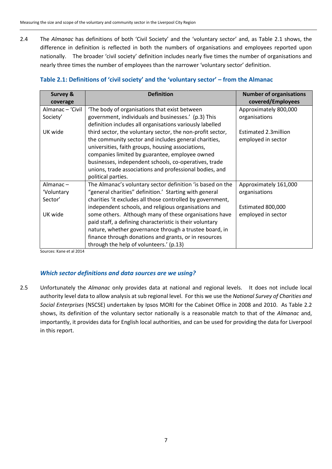2.4 The *Almanac* has definitions of both 'Civil Society' and the 'voluntary sector' and, as Table 2.1 shows, the difference in definition is reflected in both the numbers of organisations and employees reported upon nationally. The broader 'civil society' definition includes nearly five times the number of organisations and nearly three times the number of employees than the narrower 'voluntary sector' definition.

#### **Table 2.1: Definitions of 'civil society' and the 'voluntary sector' – from the Almanac**

| <b>Survey &amp;</b> | <b>Definition</b>                                          | <b>Number of organisations</b> |
|---------------------|------------------------------------------------------------|--------------------------------|
| coverage            |                                                            | covered/Employees              |
| Almanac - 'Civil    | 'The body of organisations that exist between              | Approximately 800,000          |
| Society'            | government, individuals and businesses.' (p.3) This        | organisations                  |
|                     | definition includes all organisations variously labelled   |                                |
| UK wide             | third sector, the voluntary sector, the non-profit sector, | <b>Estimated 2.3million</b>    |
|                     | the community sector and includes general charities,       | employed in sector             |
|                     | universities, faith groups, housing associations,          |                                |
|                     | companies limited by guarantee, employee owned             |                                |
|                     | businesses, independent schools, co-operatives, trade      |                                |
|                     | unions, trade associations and professional bodies, and    |                                |
|                     | political parties.                                         |                                |
| Almanac-            | The Almanac's voluntary sector definition 'is based on the | Approximately 161,000          |
| 'Voluntary          | "general charities" definition.' Starting with general     | organisations                  |
| Sector'             | charities 'it excludes all those controlled by government, |                                |
|                     | independent schools, and religious organisations and       | Estimated 800,000              |
| UK wide             | some others. Although many of these organisations have     | employed in sector             |
|                     | paid staff, a defining characteristic is their voluntary   |                                |
|                     | nature, whether governance through a trustee board, in     |                                |
|                     | finance through donations and grants, or in resources      |                                |
|                     | through the help of volunteers.' (p.13)                    |                                |

Sources: Kane et al 2014

#### *Which sector definitions and data sources are we using?*

2.5 Unfortunately the *Almanac* only provides data at national and regional levels. It does not include local authority level data to allow analysis at sub regional level. For this we use the *National Survey of Charities and Social Enterprises* (NSCSE) undertaken by Ipsos MORI for the Cabinet Office in 2008 and 2010. As Table 2.2 shows, its definition of the voluntary sector nationally is a reasonable match to that of the *Almanac* and, importantly, it provides data for English local authorities, and can be used for providing the data for Liverpool in this report.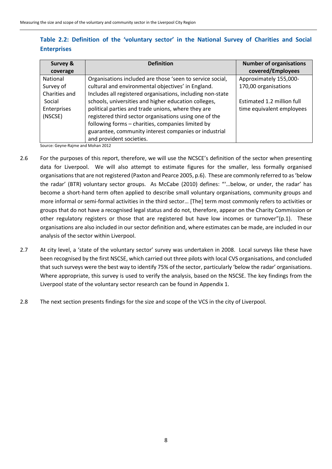# **Table 2.2: Definition of the 'voluntary sector' in the National Survey of Charities and Social Enterprises**

| <b>Survey &amp;</b> | <b>Definition</b>                                          | <b>Number of organisations</b> |
|---------------------|------------------------------------------------------------|--------------------------------|
| coverage            |                                                            | covered/Employees              |
| <b>National</b>     | Organisations included are those 'seen to service social,  | Approximately 155,000-         |
| Survey of           | cultural and environmental objectives' in England.         | 170,00 organisations           |
| Charities and       | Includes all registered organisations, including non-state |                                |
| Social              | schools, universities and higher education colleges,       | Estimated 1.2 million full     |
| Enterprises         | political parties and trade unions, where they are         | time equivalent employees      |
| (NSCSE)             | registered third sector organisations using one of the     |                                |
|                     | following forms - charities, companies limited by          |                                |
|                     | guarantee, community interest companies or industrial      |                                |
|                     | and provident societies.                                   |                                |

Source: Geyne-Rajme and Mohan 2012

- 2.6 For the purposes of this report, therefore, we will use the NCSCE's definition of the sector when presenting data for Liverpool. We will also attempt to estimate figures for the smaller, less formally organised organisations that are not registered (Paxton and Pearce 2005, p.6). These are commonly referred to as 'below the radar' (BTR) voluntary sector groups. As McCabe (2010) defines: "'…below, or under, the radar' has become a short-hand term often applied to describe small voluntary organisations, community groups and more informal or semi-formal activities in the third sector… [The] term most commonly refers to activities or groups that do not have a recognised legal status and do not, therefore, appear on the Charity Commission or other regulatory registers or those that are registered but have low incomes or turnover"(p.1). These organisations are also included in our sector definition and, where estimates can be made, are included in our analysis of the sector within Liverpool.
- 2.7 At city level, a 'state of the voluntary sector' survey was undertaken in 2008. Local surveys like these have been recognised by the first NSCSE, which carried out three pilots with local CVS organisations, and concluded that such surveys were the best way to identify 75% of the sector, particularly 'below the radar' organisations. Where appropriate, this survey is used to verify the analysis, based on the NSCSE. The key findings from the Liverpool state of the voluntary sector research can be found in Appendix 1.
- 2.8 The next section presents findings for the size and scope of the VCS in the city of Liverpool.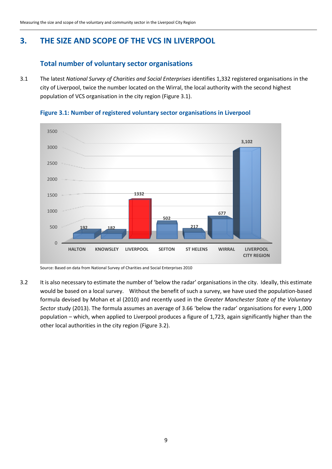# **3. THE SIZE AND SCOPE OF THE VCS IN LIVERPOOL**

# **Total number of voluntary sector organisations**

3.1 The latest *National Survey of Charities and Social Enterprises* identifies 1,332 registered organisations in the city of Liverpool, twice the number located on the Wirral, the local authority with the second highest population of VCS organisation in the city region (Figure 3.1).



**Figure 3.1: Number of registered voluntary sector organisations in Liverpool**

Source: Based on data from National Survey of Charities and Social Enterprises 2010

3.2 It is also necessary to estimate the number of 'below the radar' organisations in the city. Ideally, this estimate would be based on a local survey. Without the benefit of such a survey, we have used the population-based formula devised by Mohan et al (2010) and recently used in the *Greater Manchester State of the Voluntary Sector* study (2013). The formula assumes an average of 3.66 'below the radar' organisations for every 1,000 population – which, when applied to Liverpool produces a figure of 1,723, again significantly higher than the other local authorities in the city region (Figure 3.2).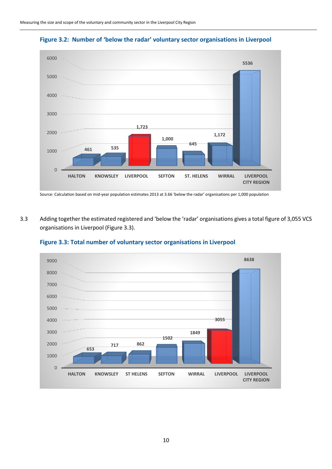



Source: Calculation based on mid-year population estimates 2013 at 3.66 'below the radar' organisations per 1,000 population

3.3 Adding together the estimated registered and 'below the 'radar' organisations gives a total figure of 3,055 VCS organisations in Liverpool (Figure 3.3).



**Figure 3.3: Total number of voluntary sector organisations in Liverpool**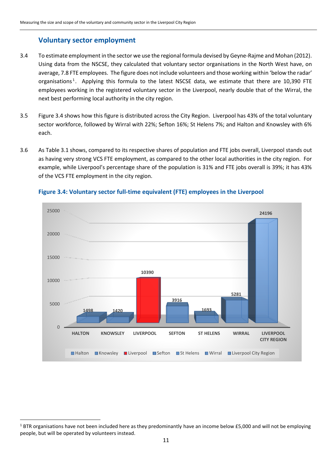## **Voluntary sector employment**

1

- 3.4 To estimate employment in the sector we use the regional formula devised by Geyne-Rajme and Mohan (2012). Using data from the NSCSE, they calculated that voluntary sector organisations in the North West have, on average, 7.8 FTE employees. The figure does not include volunteers and those working within 'below the radar' organisations<sup>1</sup>. Applying this formula to the latest NSCSE data, we estimate that there are 10,390 FTE employees working in the registered voluntary sector in the Liverpool, nearly double that of the Wirral, the next best performing local authority in the city region.
- 3.5 Figure 3.4 shows how this figure is distributed across the City Region. Liverpool has 43% of the total voluntary sector workforce, followed by Wirral with 22%; Sefton 16%; St Helens 7%; and Halton and Knowsley with 6% each.
- 3.6 As Table 3.1 shows, compared to its respective shares of population and FTE jobs overall, Liverpool stands out as having very strong VCS FTE employment, as compared to the other local authorities in the city region. For example, while Liverpool's percentage share of the population is 31% and FTE jobs overall is 39%; it has 43% of the VCS FTE employment in the city region.



#### **Figure 3.4: Voluntary sector full-time equivalent (FTE) employees in the Liverpool**

 $1$  BTR organisations have not been included here as they predominantly have an income below £5,000 and will not be employing people, but will be operated by volunteers instead.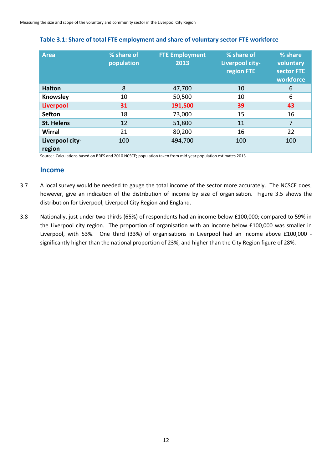| <b>Area</b>               | % share of<br>population | <b>FTE Employment</b><br>2013 | % share of<br>Liverpool city-<br>region FTE | % share<br>voluntary<br>sector FTE<br>workforce |
|---------------------------|--------------------------|-------------------------------|---------------------------------------------|-------------------------------------------------|
| <b>Halton</b>             | 8                        | 47,700                        | 10                                          | 6                                               |
| Knowsley                  | 10                       | 50,500                        | 10                                          | 6                                               |
| Liverpool                 | 31                       | 191,500                       | 39                                          | 43                                              |
| <b>Sefton</b>             | 18                       | 73,000                        | 15                                          | 16                                              |
| <b>St. Helens</b>         | 12                       | 51,800                        | 11                                          | 7                                               |
| <b>Wirral</b>             | 21                       | 80,200                        | 16                                          | 22                                              |
| Liverpool city-<br>region | 100                      | 494,700                       | 100                                         | 100                                             |

#### **Table 3.1: Share of total FTE employment and share of voluntary sector FTE workforce**

Source: Calculations based on BRES and 2010 NCSCE; population taken from mid-year population estimates 2013

#### **Income**

- 3.7 A local survey would be needed to gauge the total income of the sector more accurately. The NCSCE does, however, give an indication of the distribution of income by size of organisation. Figure 3.5 shows the distribution for Liverpool, Liverpool City Region and England.
- 3.8 Nationally, just under two-thirds (65%) of respondents had an income below £100,000; compared to 59% in the Liverpool city region. The proportion of organisation with an income below £100,000 was smaller in Liverpool, with 53%. One third (33%) of organisations in Liverpool had an income above £100,000 significantly higher than the national proportion of 23%, and higher than the City Region figure of 28%.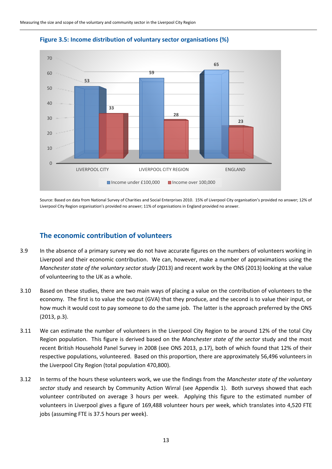

**Figure 3.5: Income distribution of voluntary sector organisations (%)**

Source: Based on data from National Survey of Charities and Social Enterprises 2010. 15% of Liverpool City organisation's provided no answer; 12% of Liverpool City Region organisation's provided no answer; 11% of organisations in England provided no answer.

#### **The economic contribution of volunteers**

- 3.9 In the absence of a primary survey we do not have accurate figures on the numbers of volunteers working in Liverpool and their economic contribution. We can, however, make a number of approximations using the *Manchester state of the voluntary sector study* (2013) and recent work by the ONS (2013) looking at the value of volunteering to the UK as a whole.
- 3.10 Based on these studies, there are two main ways of placing a value on the contribution of volunteers to the economy. The first is to value the output (GVA) that they produce, and the second is to value their input, or how much it would cost to pay someone to do the same job. The latter is the approach preferred by the ONS (2013, p.3).
- 3.11 We can estimate the number of volunteers in the Liverpool City Region to be around 12% of the total City Region population. This figure is derived based on the *Manchester state of the sector* study and the most recent British Household Panel Survey in 2008 (see ONS 2013, p.17), both of which found that 12% of their respective populations, volunteered. Based on this proportion, there are approximately 56,496 volunteers in the Liverpool City Region (total population 470,800).
- 3.12 In terms of the hours these volunteers work, we use the findings from the *Manchester state of the voluntary sector* study and research by Community Action Wirral (see Appendix 1). Both surveys showed that each volunteer contributed on average 3 hours per week. Applying this figure to the estimated number of volunteers in Liverpool gives a figure of 169,488 volunteer hours per week, which translates into 4,520 FTE jobs (assuming FTE is 37.5 hours per week).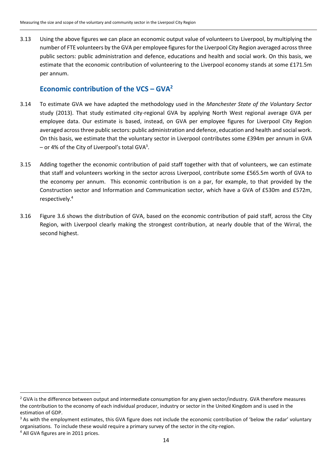3.13 Using the above figures we can place an economic output value of volunteers to Liverpool, by multiplying the number of FTE volunteers by the GVA per employee figures for the Liverpool City Region averaged across three public sectors: public administration and defence, educations and health and social work. On this basis, we estimate that the economic contribution of volunteering to the Liverpool economy stands at some £171.5m per annum.

# **Economic contribution of the VCS – GVA<sup>2</sup>**

- 3.14 To estimate GVA we have adapted the methodology used in the *Manchester State of the Voluntary Sector* study (2013). That study estimated city-regional GVA by applying North West regional average GVA per employee data. Our estimate is based, instead, on GVA per employee figures for Liverpool City Region averaged across three public sectors: public administration and defence, education and health and social work. On this basis, we estimate that the voluntary sector in Liverpool contributes some £394m per annum in GVA  $-$  or 4% of the City of Liverpool's total GVA<sup>3</sup>.
- 3.15 Adding together the economic contribution of paid staff together with that of volunteers, we can estimate that staff and volunteers working in the sector across Liverpool, contribute some £565.5m worth of GVA to the economy per annum. This economic contribution is on a par, for example, to that provided by the Construction sector and Information and Communication sector, which have a GVA of £530m and £572m, respectively.<sup>4</sup>
- 3.16 Figure 3.6 shows the distribution of GVA, based on the economic contribution of paid staff, across the City Region, with Liverpool clearly making the strongest contribution, at nearly double that of the Wirral, the second highest.

**.** 

<sup>&</sup>lt;sup>2</sup> GVA is the difference between output and intermediate consumption for any given sector/industry. GVA therefore measures the contribution to the economy of each individual producer, industry or sector in the United Kingdom and is used in the estimation of GDP.

<sup>&</sup>lt;sup>3</sup> As with the employment estimates, this GVA figure does not include the economic contribution of 'below the radar' voluntary organisations. To include these would require a primary survey of the sector in the city-region.

<sup>4</sup> All GVA figures are in 2011 prices.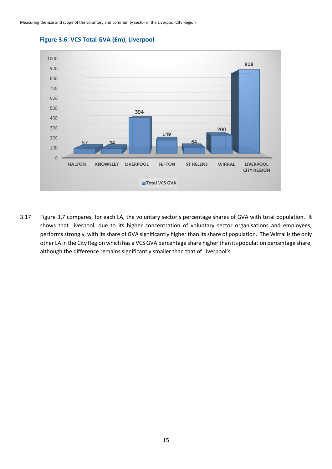

**Figure 3.6: VCS Total GVA (£m), Liverpool**

3.17 Figure 3.7 compares, for each LA, the voluntary sector's percentage shares of GVA with total population. It shows that Liverpool, due to its higher concentration of voluntary sector organisations and employees, performs strongly, with its share of GVA significantly higher than its share of population. The Wirral is the only other LA in the City Region which has a VCS GVA percentage share higher than its population percentage share; although the difference remains significantly smaller than that of Liverpool's.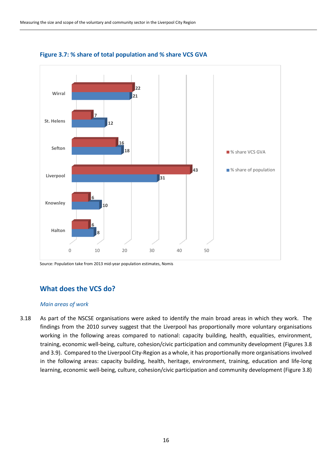



Source: Population take from 2013 mid-year population estimates, Nomis

## **What does the VCS do?**

#### *Main areas of work*

3.18 As part of the NSCSE organisations were asked to identify the main broad areas in which they work. The findings from the 2010 survey suggest that the Liverpool has proportionally more voluntary organisations working in the following areas compared to national: capacity building, health, equalities, environment, training, economic well-being, culture, cohesion/civic participation and community development (Figures 3.8 and 3.9). Compared to the Liverpool City-Region as a whole, it has proportionally more organisations involved in the following areas: capacity building, health, heritage, environment, training, education and life-long learning, economic well-being, culture, cohesion/civic participation and community development (Figure 3.8)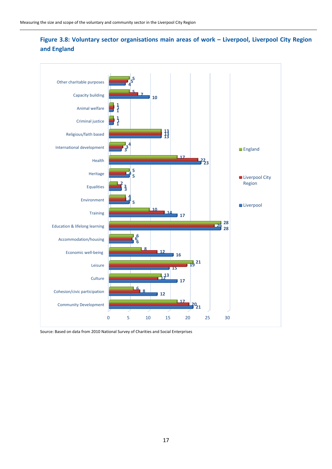

# **Figure 3.8: Voluntary sector organisations main areas of work – Liverpool, Liverpool City Region and England**

Source: Based on data from 2010 National Survey of Charities and Social Enterprises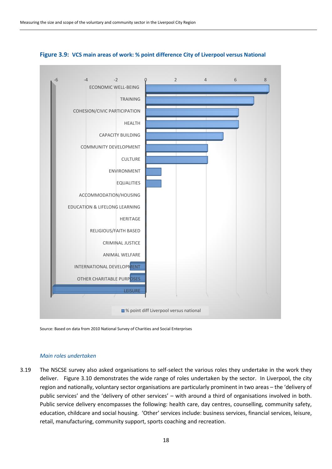

#### **Figure 3.9: VCS main areas of work: % point difference City of Liverpool versus National**

Source: Based on data from 2010 National Survey of Charities and Social Enterprises

#### *Main roles undertaken*

3.19 The NSCSE survey also asked organisations to self-select the various roles they undertake in the work they deliver. Figure 3.10 demonstrates the wide range of roles undertaken by the sector. In Liverpool, the city region and nationally, voluntary sector organisations are particularly prominent in two areas – the 'delivery of public services' and the 'delivery of other services' – with around a third of organisations involved in both. Public service delivery encompasses the following: health care, day centres, counselling, community safety, education, childcare and social housing. 'Other' services include: business services, financial services, leisure, retail, manufacturing, community support, sports coaching and recreation.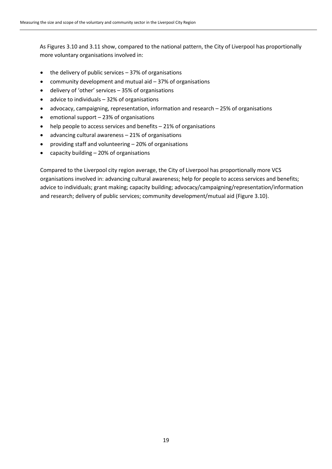As Figures 3.10 and 3.11 show, compared to the national pattern, the City of Liverpool has proportionally more voluntary organisations involved in:

- $\bullet$  the delivery of public services  $-37%$  of organisations
- community development and mutual aid 37% of organisations
- delivery of 'other' services 35% of organisations
- $\bullet$  advice to individuals  $-32\%$  of organisations
- advocacy, campaigning, representation, information and research 25% of organisations
- emotional support 23% of organisations
- help people to access services and benefits 21% of organisations
- advancing cultural awareness 21% of organisations
- providing staff and volunteering 20% of organisations
- capacity building 20% of organisations

Compared to the Liverpool city region average, the City of Liverpool has proportionally more VCS organisations involved in: advancing cultural awareness; help for people to access services and benefits; advice to individuals; grant making; capacity building; advocacy/campaigning/representation/information and research; delivery of public services; community development/mutual aid (Figure 3.10).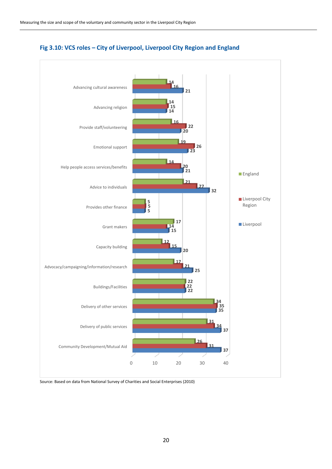

# **Fig 3.10: VCS roles – City of Liverpool, Liverpool City Region and England**

Source: Based on data from National Survey of Charities and Social Enterprises (2010)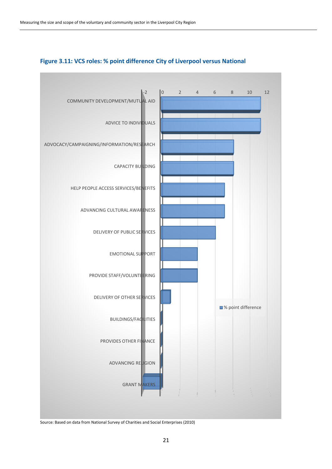

#### **Figure 3.11: VCS roles: % point difference City of Liverpool versus National**

Source: Based on data from National Survey of Charities and Social Enterprises (2010)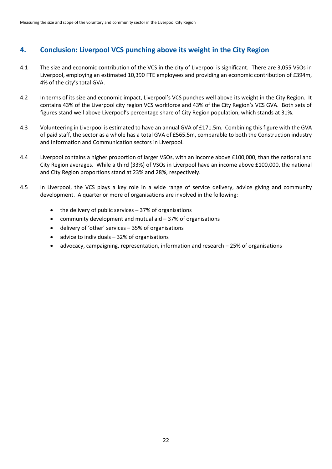# **4. Conclusion: Liverpool VCS punching above its weight in the City Region**

- 4.1 The size and economic contribution of the VCS in the city of Liverpool is significant. There are 3,055 VSOs in Liverpool, employing an estimated 10,390 FTE employees and providing an economic contribution of £394m, 4% of the city's total GVA.
- 4.2 In terms of its size and economic impact, Liverpool's VCS punches well above its weight in the City Region. It contains 43% of the Liverpool city region VCS workforce and 43% of the City Region's VCS GVA. Both sets of figures stand well above Liverpool's percentage share of City Region population, which stands at 31%.
- 4.3 Volunteering in Liverpool is estimated to have an annual GVA of £171.5m. Combining this figure with the GVA of paid staff, the sector as a whole has a total GVA of £565.5m, comparable to both the Construction industry and Information and Communication sectors in Liverpool.
- 4.4 Liverpool contains a higher proportion of larger VSOs, with an income above £100,000, than the national and City Region averages. While a third (33%) of VSOs in Liverpool have an income above £100,000, the national and City Region proportions stand at 23% and 28%, respectively.
- 4.5 In Liverpool, the VCS plays a key role in a wide range of service delivery, advice giving and community development. A quarter or more of organisations are involved in the following:
	- $\bullet$  the delivery of public services  $-37\%$  of organisations
	- community development and mutual aid 37% of organisations
	- delivery of 'other' services 35% of organisations
	- advice to individuals 32% of organisations
	- advocacy, campaigning, representation, information and research 25% of organisations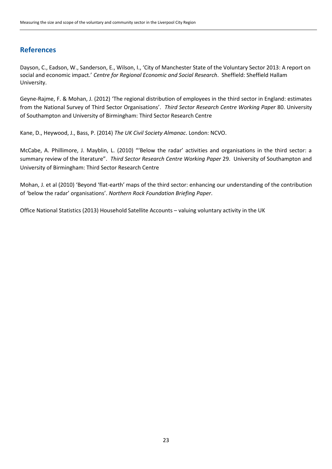# **References**

Dayson, C., Eadson, W., Sanderson, E., Wilson, I., 'City of Manchester State of the Voluntary Sector 2013: A report on social and economic impact.' *Centre for Regional Economic and Social Research*. Sheffield: Sheffield Hallam University.

Geyne-Rajme, F. & Mohan, J. (2012) 'The regional distribution of employees in the third sector in England: estimates from the National Survey of Third Sector Organisations'. *Third Sector Research Centre Working Paper* 80. University of Southampton and University of Birmingham: Third Sector Research Centre

Kane, D., Heywood, J., Bass, P. (2014) *The UK Civil Society Almanac*. London: NCVO.

McCabe, A. Phillimore, J. Mayblin, L. (2010) "'Below the radar' activities and organisations in the third sector: a summary review of the literature". *Third Sector Research Centre Working Paper* 29. University of Southampton and University of Birmingham: Third Sector Research Centre

Mohan, J. et al (2010) 'Beyond 'flat-earth' maps of the third sector: enhancing our understanding of the contribution of 'below the radar' organisations'. *Northern Rock Foundation Briefing Paper*.

Office National Statistics (2013) Household Satellite Accounts – valuing voluntary activity in the UK